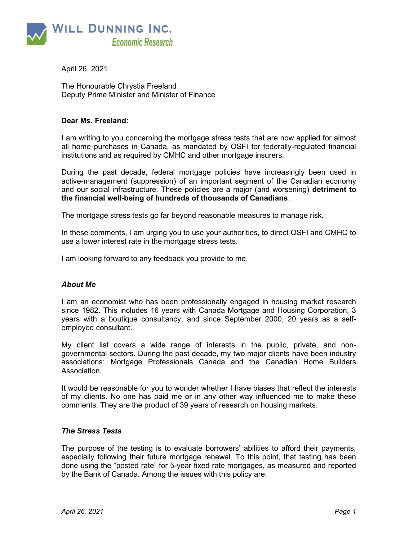

April 26, 2021

The Honourable Chrystia Freeland Deputy Prime Minister and Minister of Finance

# Dear Ms. Freeland:

I am writing to you concerning the mortgage stress tests that are now applied for almost all home purchases in Canada, as mandated by OSFI for federally-regulated financial institutions and as required by CMHC and other mortgage insurers.

During the past decade, federal mortgage policies have increasingly been used in active-management (suppression) of an important segment of the Canadian economy and our social infrastructure. These policies are a major (and worsening) detriment to the financial well-being of hundreds of thousands of Canadians.

The mortgage stress tests go far beyond reasonable measures to manage risk.

In these comments, I am urging you to use your authorities, to direct OSFI and CMHC to use a lower interest rate in the mortgage stress tests.

I am looking forward to any feedback you provide to me.

## About Me

I am an economist who has been professionally engaged in housing market research since 1982. This includes 16 years with Canada Mortgage and Housing Corporation, 3 years with a boutique consultancy, and since September 2000, 20 years as a selfemployed consultant.

My client list covers a wide range of interests in the public, private, and nongovernmental sectors. During the past decade, my two major clients have been industry associations: Mortgage Professionals Canada and the Canadian Home Builders Association.

It would be reasonable for you to wonder whether I have biases that reflect the interests of my clients. No one has paid me or in any other way influenced me to make these comments. They are the product of 39 years of research on housing markets.

#### The Stress Tests

The purpose of the testing is to evaluate borrowers' abilities to afford their payments, especially following their future mortgage renewal. To this point, that testing has been done using the "posted rate" for 5-year fixed rate mortgages, as measured and reported by the Bank of Canada. Among the issues with this policy are: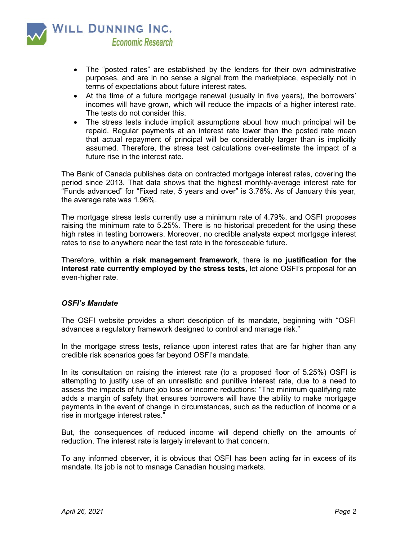

- The "posted rates" are established by the lenders for their own administrative purposes, and are in no sense a signal from the marketplace, especially not in terms of expectations about future interest rates.
- At the time of a future mortgage renewal (usually in five years), the borrowers' incomes will have grown, which will reduce the impacts of a higher interest rate. The tests do not consider this.
- The stress tests include implicit assumptions about how much principal will be repaid. Regular payments at an interest rate lower than the posted rate mean that actual repayment of principal will be considerably larger than is implicitly assumed. Therefore, the stress test calculations over-estimate the impact of a future rise in the interest rate.

The Bank of Canada publishes data on contracted mortgage interest rates, covering the period since 2013. That data shows that the highest monthly-average interest rate for "Funds advanced" for "Fixed rate, 5 years and over" is 3.76%. As of January this year, the average rate was 1.96%.

The mortgage stress tests currently use a minimum rate of 4.79%, and OSFI proposes raising the minimum rate to 5.25%. There is no historical precedent for the using these high rates in testing borrowers. Moreover, no credible analysts expect mortgage interest rates to rise to anywhere near the test rate in the foreseeable future.

Therefore, within a risk management framework, there is no justification for the interest rate currently employed by the stress tests, let alone OSFI's proposal for an even-higher rate.

# OSFI's Mandate

The OSFI website provides a short description of its mandate, beginning with "OSFI advances a regulatory framework designed to control and manage risk."

In the mortgage stress tests, reliance upon interest rates that are far higher than any credible risk scenarios goes far beyond OSFI's mandate.

In its consultation on raising the interest rate (to a proposed floor of 5.25%) OSFI is attempting to justify use of an unrealistic and punitive interest rate, due to a need to assess the impacts of future job loss or income reductions: "The minimum qualifying rate adds a margin of safety that ensures borrowers will have the ability to make mortgage payments in the event of change in circumstances, such as the reduction of income or a rise in mortgage interest rates."

But, the consequences of reduced income will depend chiefly on the amounts of reduction. The interest rate is largely irrelevant to that concern.

To any informed observer, it is obvious that OSFI has been acting far in excess of its mandate. Its job is not to manage Canadian housing markets.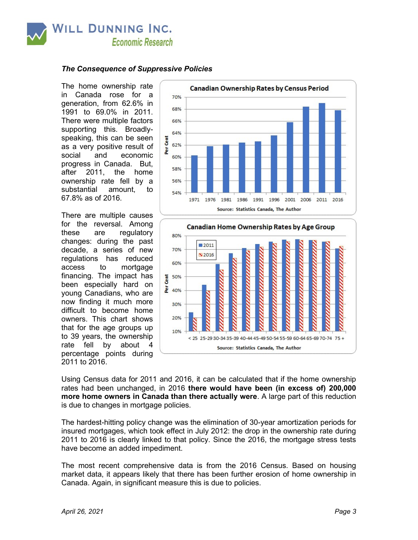

### The Consequence of Suppressive Policies

The home ownership rate in Canada rose for a generation, from 62.6% in 1991 to 69.0% in 2011. There were multiple factors supporting this. Broadlyspeaking, this can be seen as a very positive result of social and economic progress in Canada. But, after 2011, the home ownership rate fell by a substantial amount, to 67.8% as of 2016.

There are multiple causes for the reversal. Among these are regulatory changes: during the past decade, a series of new regulations has reduced access to mortgage financing. The impact has been especially hard on young Canadians, who are now finding it much more difficult to become home owners. This chart shows that for the age groups up to 39 years, the ownership rate fell by about percentage points during 2011 to 2016.





Using Census data for 2011 and 2016, it can be calculated that if the home ownership rates had been unchanged, in 2016 there would have been (in excess of) 200,000 more home owners in Canada than there actually were. A large part of this reduction is due to changes in mortgage policies.

The hardest-hitting policy change was the elimination of 30-year amortization periods for insured mortgages, which took effect in July 2012: the drop in the ownership rate during 2011 to 2016 is clearly linked to that policy. Since the 2016, the mortgage stress tests have become an added impediment.

The most recent comprehensive data is from the 2016 Census. Based on housing market data, it appears likely that there has been further erosion of home ownership in Canada. Again, in significant measure this is due to policies.